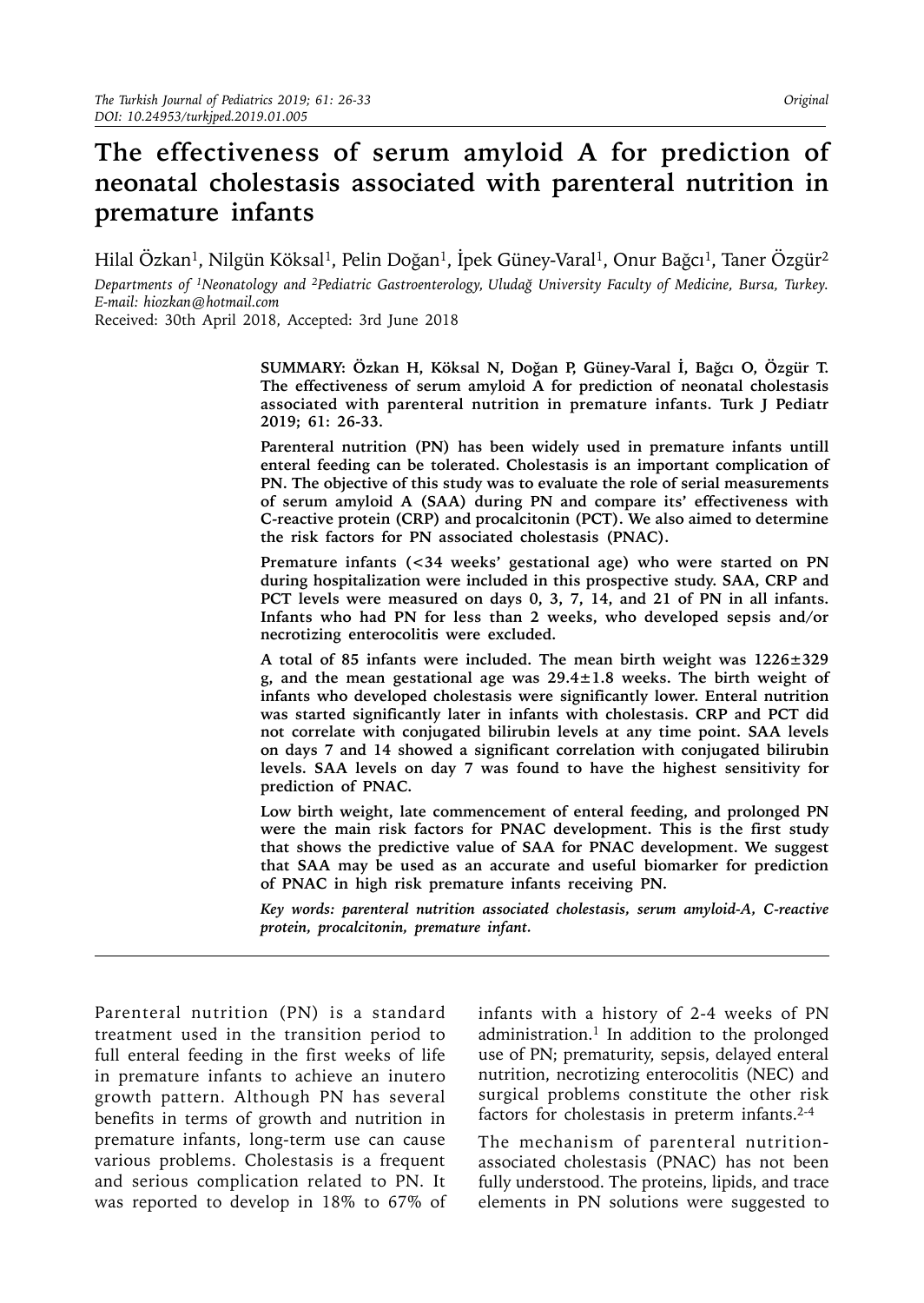# **The effectiveness of serum amyloid A for prediction of neonatal cholestasis associated with parenteral nutrition in premature infants**

Hilal Özkan<sup>1</sup>, Nilgün Köksal<sup>1</sup>, Pelin Doğan<sup>1</sup>, İpek Güney-Varal<sup>1</sup>, Onur Bağcı<sup>1</sup>, Taner Özgür<sup>2</sup> *Departments of 1Neonatology and 2Pediatric Gastroenterology, Uludağ University Faculty of Medicine, Bursa, Turkey. E-mail: [hiozkan@hotmail.com](mailto:hiozkan@hotmail.com)*

Received: 30th April 2018, Accepted: 3rd June 2018

**SUMMARY: Özkan H, Köksal N, Doğan P, Güney-Varal İ, Bağcı O, Özgür T. The effectiveness of serum amyloid A for prediction of neonatal cholestasis associated with parenteral nutrition in premature infants. Turk J Pediatr 2019; 61: 26-33.**

**Parenteral nutrition (PN) has been widely used in premature infants untill enteral feeding can be tolerated. Cholestasis is an important complication of PN. The objective of this study was to evaluate the role of serial measurements of serum amyloid A (SAA) during PN and compare its' effectiveness with C-reactive protein (CRP) and procalcitonin (PCT). We also aimed to determine the risk factors for PN associated cholestasis (PNAC).** 

**Premature infants (<34 weeks' gestational age) who were started on PN during hospitalization were included in this prospective study. SAA, CRP and PCT levels were measured on days 0, 3, 7, 14, and 21 of PN in all infants. Infants who had PN for less than 2 weeks, who developed sepsis and/or necrotizing enterocolitis were excluded.** 

**A total of 85 infants were included. The mean birth weight was 1226±329 g, and the mean gestational age was 29.4±1.8 weeks. The birth weight of infants who developed cholestasis were significantly lower. Enteral nutrition was started significantly later in infants with cholestasis. CRP and PCT did not correlate with conjugated bilirubin levels at any time point. SAA levels on days 7 and 14 showed a significant correlation with conjugated bilirubin levels. SAA levels on day 7 was found to have the highest sensitivity for prediction of PNAC.** 

**Low birth weight, late commencement of enteral feeding, and prolonged PN were the main risk factors for PNAC development. This is the first study that shows the predictive value of SAA for PNAC development. We suggest that SAA may be used as an accurate and useful biomarker for prediction of PNAC in high risk premature infants receiving PN.** 

*Key words: parenteral nutrition associated cholestasis, serum amyloid-A, C-reactive protein, procalcitonin, premature infant.*

Parenteral nutrition (PN) is a standard treatment used in the transition period to full enteral feeding in the first weeks of life in premature infants to achieve an inutero growth pattern. Although PN has several benefits in terms of growth and nutrition in premature infants, long-term use can cause various problems. Cholestasis is a frequent and serious complication related to PN. It was reported to develop in 18% to 67% of

infants with a history of 2-4 weeks of PN administration.<sup>1</sup> In addition to the prolonged use of PN; prematurity, sepsis, delayed enteral nutrition, necrotizing enterocolitis (NEC) and surgical problems constitute the other risk factors for cholestasis in preterm infants. $2-4$ 

The mechanism of parenteral nutritionassociated cholestasis (PNAC) has not been fully understood. The proteins, lipids, and trace elements in PN solutions were suggested to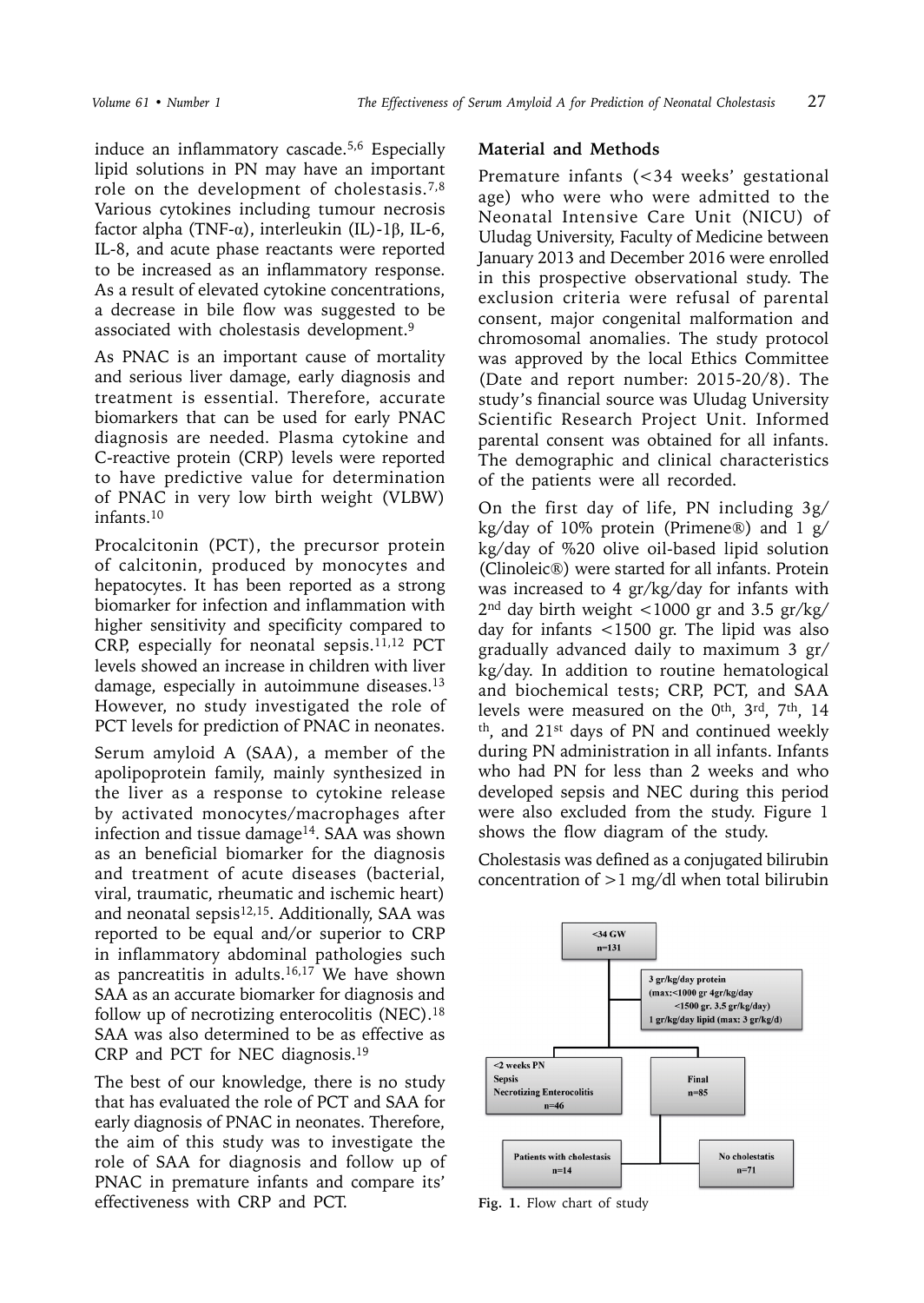induce an inflammatory cascade.5,6 Especially lipid solutions in PN may have an important role on the development of cholestasis.7,8 Various cytokines including tumour necrosis factor alpha (TNF-α), interleukin (IL)-1β, IL-6, IL-8, and acute phase reactants were reported to be increased as an inflammatory response. As a result of elevated cytokine concentrations, a decrease in bile flow was suggested to be associated with cholestasis development.<sup>9</sup>

As PNAC is an important cause of mortality and serious liver damage, early diagnosis and treatment is essential. Therefore, accurate biomarkers that can be used for early PNAC diagnosis are needed. Plasma cytokine and C-reactive protein (CRP) levels were reported to have predictive value for determination of PNAC in very low birth weight (VLBW) infants.10

Procalcitonin (PCT), the precursor protein of calcitonin, produced by monocytes and hepatocytes. It has been reported as a strong biomarker for infection and inflammation with higher sensitivity and specificity compared to CRP, especially for neonatal sepsis.<sup>11,12</sup> PCT levels showed an increase in children with liver damage, especially in autoimmune diseases.13 However, no study investigated the role of PCT levels for prediction of PNAC in neonates.

Serum amyloid A (SAA), a member of the apolipoprotein family, mainly synthesized in the liver as a response to cytokine release by activated monocytes/macrophages after infection and tissue damage<sup>14</sup>. SAA was shown as an beneficial biomarker for the diagnosis and treatment of acute diseases (bacterial, viral, traumatic, rheumatic and ischemic heart) and neonatal sepsis $12,15$ . Additionally, SAA was reported to be equal and/or superior to CRP in inflammatory abdominal pathologies such as pancreatitis in adults. $16,17$  We have shown SAA as an accurate biomarker for diagnosis and follow up of necrotizing enterocolitis (NEC).18 SAA was also determined to be as effective as CRP and PCT for NEC diagnosis.19

The best of our knowledge, there is no study that has evaluated the role of PCT and SAA for early diagnosis of PNAC in neonates. Therefore, the aim of this study was to investigate the role of SAA for diagnosis and follow up of PNAC in premature infants and compare its' effectiveness with CRP and PCT.

### **Material and Methods**

Premature infants (<34 weeks' gestational age) who were who were admitted to the Neonatal Intensive Care Unit (NICU) of Uludag University, Faculty of Medicine between January 2013 and December 2016 were enrolled in this prospective observational study. The exclusion criteria were refusal of parental consent, major congenital malformation and chromosomal anomalies. The study protocol was approved by the local Ethics Committee (Date and report number: 2015-20/8). The study's financial source was Uludag University Scientific Research Project Unit. Informed parental consent was obtained for all infants. The demographic and clinical characteristics of the patients were all recorded.

On the first day of life, PN including 3g/ kg/day of 10% protein (Primene®) and  $1$  g/ kg/day of %20 olive oil-based lipid solution (Clinoleic®) were started for all infants. Protein was increased to 4 gr/kg/day for infants with 2nd day birth weight <1000 gr and 3.5 gr/kg/ day for infants <1500 gr. The lipid was also gradually advanced daily to maximum 3 gr/ kg/day. In addition to routine hematological and biochemical tests; CRP, PCT, and SAA levels were measured on the 0th, 3rd, 7th, 14 th, and 21st days of PN and continued weekly during PN administration in all infants. Infants who had PN for less than 2 weeks and who developed sepsis and NEC during this period were also excluded from the study. Figure 1 shows the flow diagram of the study.

Cholestasis was defined as a conjugated bilirubin concentration of  $>1$  mg/dl when total bilirubin



Fig. 1. Flow chart of study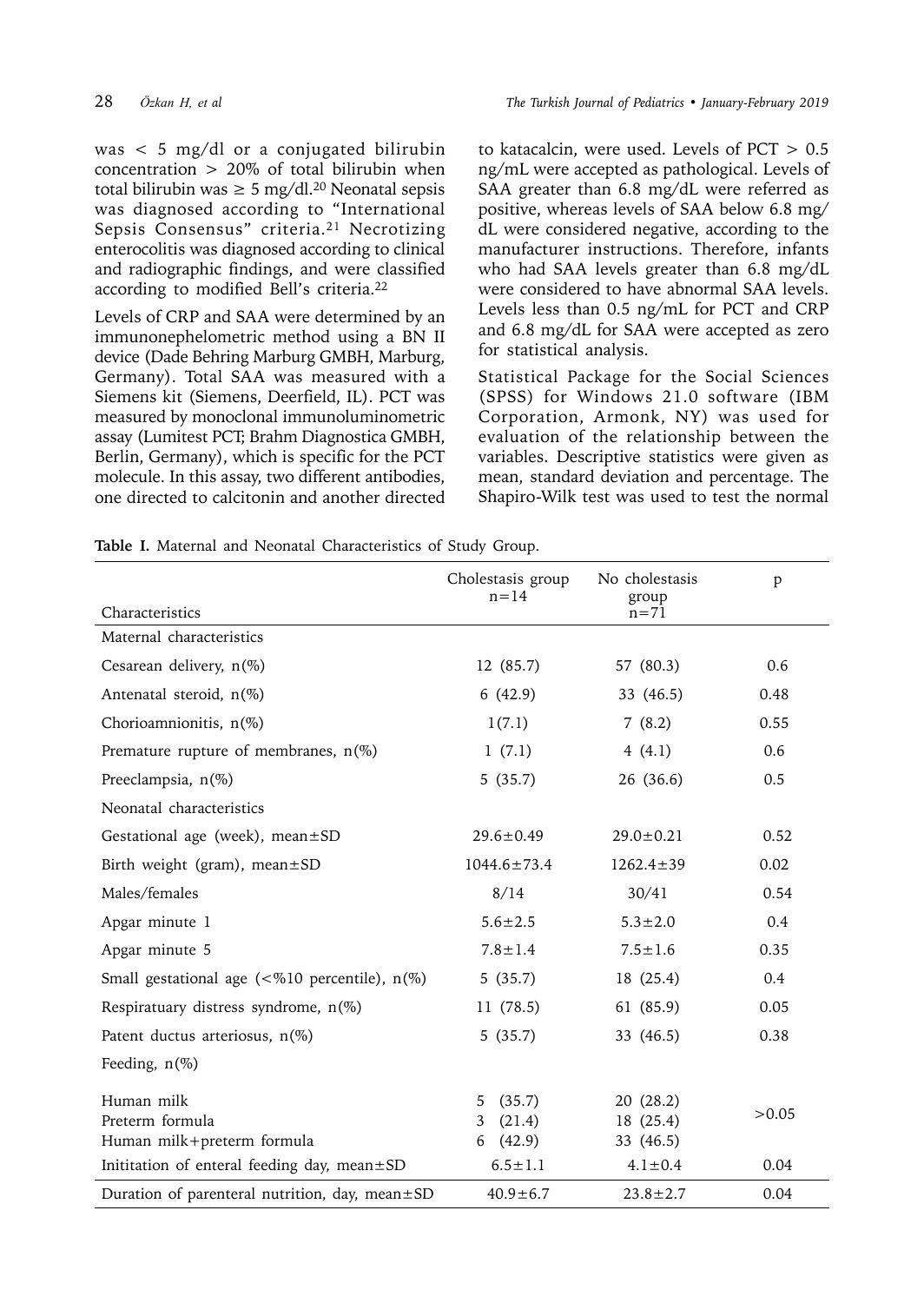was < 5 mg/dl or a conjugated bilirubin concentration > 20% of total bilirubin when total bilirubin was  $\geq 5$  mg/dl.<sup>20</sup> Neonatal sepsis was diagnosed according to "International Sepsis Consensus" criteria.<sup>21</sup> Necrotizing enterocolitis was diagnosed according to clinical and radiographic findings, and were classified according to modified Bell's criteria.22

Levels of CRP and SAA were determined by an immunonephelometric method using a BN II device (Dade Behring Marburg GMBH, Marburg, Germany). Total SAA was measured with a Siemens kit (Siemens, Deerfield, IL). PCT was measured by monoclonal immunoluminometric assay (Lumitest PCT; Brahm Diagnostica GMBH, Berlin, Germany), which is specific for the PCT molecule. In this assay, two different antibodies, one directed to calcitonin and another directed to katacalcin, were used. Levels of PCT > 0.5 ng/mL were accepted as pathological. Levels of SAA greater than 6.8 mg/dL were referred as positive, whereas levels of SAA below 6.8 mg/ dL were considered negative, according to the manufacturer instructions. Therefore, infants who had SAA levels greater than 6.8 mg/dL were considered to have abnormal SAA levels. Levels less than 0.5 ng/mL for PCT and CRP and 6.8 mg/dL for SAA were accepted as zero for statistical analysis.

Statistical Package for the Social Sciences (SPSS) for Windows 21.0 software (IBM Corporation, Armonk, NY) was used for evaluation of the relationship between the variables. Descriptive statistics were given as mean, standard deviation and percentage. The Shapiro-Wilk test was used to test the normal

**Table I.** Maternal and Neonatal Characteristics of Study Group.

|                                                      | Cholestasis group<br>$n = 14$ | No cholestasis<br>group | p     |
|------------------------------------------------------|-------------------------------|-------------------------|-------|
| Characteristics                                      |                               | $n = 71$                |       |
| Maternal characteristics                             |                               |                         |       |
| Cesarean delivery, n(%)                              | 12 (85.7)                     | 57 (80.3)               | 0.6   |
| Antenatal steroid, n(%)                              | 6(42.9)                       | 33 (46.5)               | 0.48  |
| Chorioamnionitis, n(%)                               | 1(7.1)                        | 7(8.2)                  | 0.55  |
| Premature rupture of membranes, $n(\%)$              | 1(7.1)                        | 4 $(4.1)$               | 0.6   |
| Preeclampsia, n(%)                                   | 5(35.7)                       | 26 (36.6)               | 0.5   |
| Neonatal characteristics                             |                               |                         |       |
| Gestational age (week), mean±SD                      | $29.6 \pm 0.49$               | $29.0 \pm 0.21$         | 0.52  |
| Birth weight (gram), mean±SD                         | $1044.6 \pm 73.4$             | $1262.4 \pm 39$         | 0.02  |
| Males/females                                        | 8/14                          | 30/41                   | 0.54  |
| Apgar minute 1                                       | $5.6 \pm 2.5$                 | $5.3 \pm 2.0$           | 0.4   |
| Apgar minute 5                                       | $7.8 \pm 1.4$                 | $7.5 \pm 1.6$           | 0.35  |
| Small gestational age ( $\leq$ %10 percentile), n(%) | 5(35.7)                       | 18 (25.4)               | 0.4   |
| Respiratuary distress syndrome, $n(\%)$              | 11 (78.5)                     | 61 (85.9)               | 0.05  |
| Patent ductus arteriosus, n(%)                       | 5(35.7)                       | 33 (46.5)               | 0.38  |
| Feeding, $n(\%)$                                     |                               |                         |       |
| Human milk<br>Preterm formula                        | (35.7)<br>5<br>(21.4)<br>3    | 20(28.2)<br>18 (25.4)   | >0.05 |
| Human milk+preterm formula                           | (42.9)<br>6                   | 33 (46.5)               |       |
| Inititation of enteral feeding day, mean±SD          | $6.5 \pm 1.1$                 | $4.1 \pm 0.4$           | 0.04  |
| Duration of parenteral nutrition, day, mean±SD       | $40.9 \pm 6.7$                | $23.8 \pm 2.7$          | 0.04  |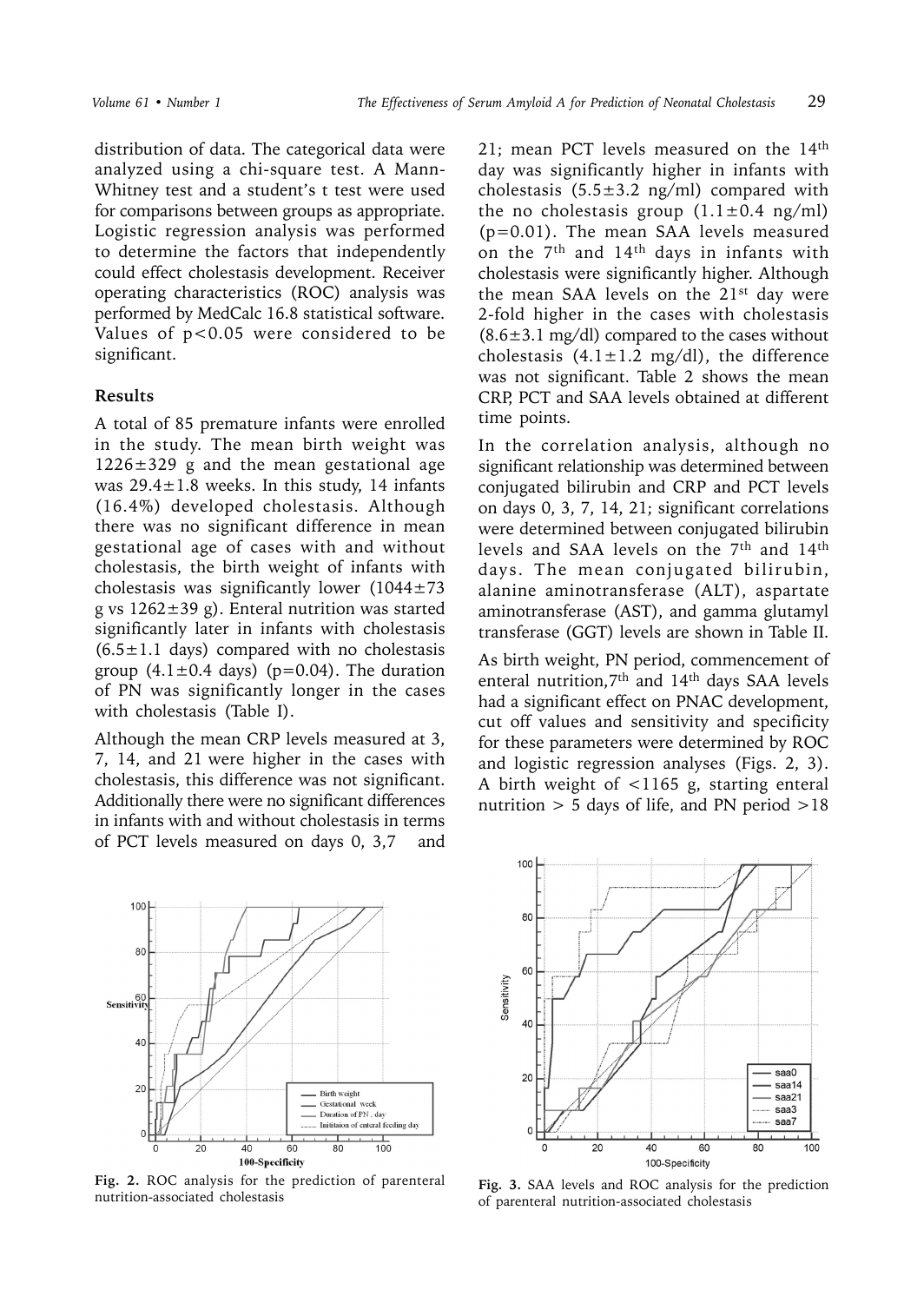distribution of data. The categorical data were analyzed using a chi-square test. A Mann-Whitney test and a student's t test were used for comparisons between groups as appropriate. Logistic regression analysis was performed to determine the factors that independently could effect cholestasis development. Receiver operating characteristics (ROC) analysis was performed by MedCalc 16.8 statistical software. Values of p<0.05 were considered to be significant.

### **Results**

A total of 85 premature infants were enrolled in the study. The mean birth weight was  $1226 \pm 329$  g and the mean gestational age was  $29.4 \pm 1.8$  weeks. In this study, 14 infants (16.4%) developed cholestasis. Although there was no significant difference in mean gestational age of cases with and without cholestasis, the birth weight of infants with cholestasis was significantly lower  $(1044 \pm 73)$ g vs  $1262 \pm 39$  g). Enteral nutrition was started significantly later in infants with cholestasis  $(6.5 \pm 1.1$  days) compared with no cholestasis group  $(4.1 \pm 0.4$  days) (p=0.04). The duration of PN was significantly longer in the cases with cholestasis (Table I).

Although the mean CRP levels measured at 3, 7, 14, and 21 were higher in the cases with cholestasis, this difference was not significant. Additionally there were no significant differences in infants with and without cholestasis in terms of PCT levels measured on days 0, 3,7 and



**Fig. 2.** ROC analysis for the prediction of parenteral Fig. 2. ROC analysis for the prediction of parenteral Fig. 3. SAA levels and ROC analysis for the prediction nutrition-associated cholestasis

21; mean PCT levels measured on the 14<sup>th</sup> day was significantly higher in infants with cholestasis  $(5.5 \pm 3.2 \text{ ng/ml})$  compared with the no cholestasis group  $(1.1 \pm 0.4 \text{ ng/ml})$ (p=0.01). The mean SAA levels measured on the 7th and 14th days in infants with cholestasis were significantly higher. Although the mean SAA levels on the 21st day were 2-fold higher in the cases with cholestasis  $(8.6\pm3.1 \text{ mg/dl})$  compared to the cases without cholestasis  $(4.1 \pm 1.2 \text{ mg/dl})$ , the difference was not significant. Table 2 shows the mean CRP, PCT and SAA levels obtained at different time points.

In the correlation analysis, although no significant relationship was determined between conjugated bilirubin and CRP and PCT levels on days 0, 3, 7, 14, 21; significant correlations were determined between conjugated bilirubin levels and SAA levels on the 7th and 14th days. The mean conjugated bilirubin, alanine aminotransferase (ALT), aspartate aminotransferase (AST), and gamma glutamyl transferase (GGT) levels are shown in Table II.

As birth weight, PN period, commencement of enteral nutrition,7th and 14th days SAA levels had a significant effect on PNAC development, cut off values and sensitivity and specificity for these parameters were determined by ROC and logistic regression analyses (Figs. 2, 3). A birth weight of <1165 g, starting enteral nutrition  $> 5$  days of life, and PN period  $> 18$ 



of parenteral nutrition-associated cholestasis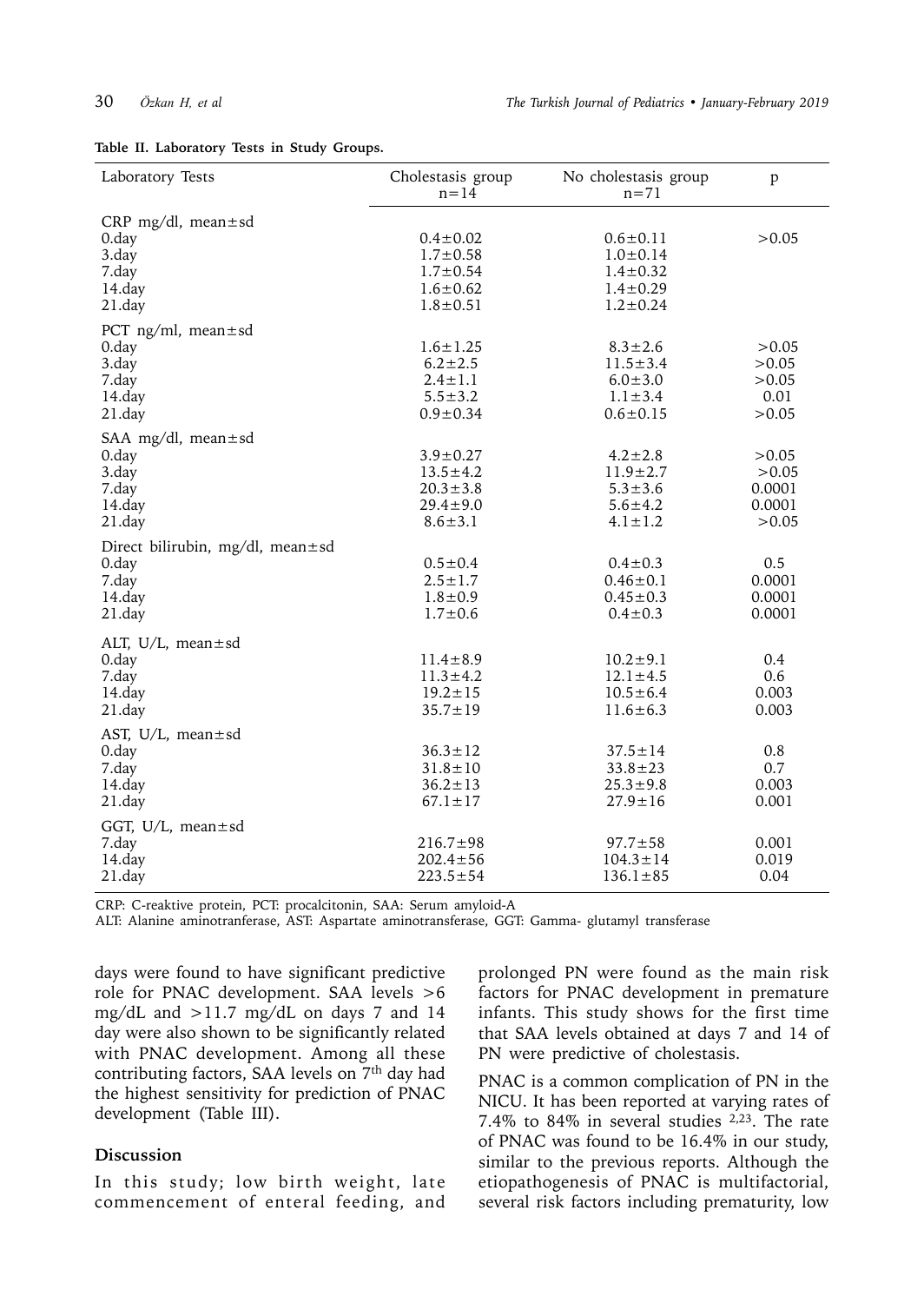|  |  | Table II. Laboratory Tests in Study Groups. |  |  |  |  |
|--|--|---------------------------------------------|--|--|--|--|
|--|--|---------------------------------------------|--|--|--|--|

| Laboratory Tests                                                           | Cholestasis group<br>$n = 14$                                                          | No cholestasis group<br>$n = 71$                                                       | p                                           |  |
|----------------------------------------------------------------------------|----------------------------------------------------------------------------------------|----------------------------------------------------------------------------------------|---------------------------------------------|--|
| CRP mg/dl, mean $\pm$ sd<br>0.day<br>3.day<br>7.day<br>14.day<br>21.day    | $0.4 \pm 0.02$<br>$1.7 \pm 0.58$<br>$1.7 \pm 0.54$<br>$1.6 \pm 0.62$<br>$1.8 \pm 0.51$ | $0.6 \pm 0.11$<br>$1.0 \pm 0.14$<br>$1.4 \pm 0.32$<br>$1.4 \pm 0.29$<br>$1.2 \pm 0.24$ | >0.05                                       |  |
| PCT ng/ml, mean $\pm$ sd<br>0.day<br>3.day<br>7.day<br>14.day<br>$21$ .day | $1.6 \pm 1.25$<br>$6.2 \pm 2.5$<br>$2.4 \pm 1.1$<br>$5.5 \pm 3.2$<br>$0.9 \pm 0.34$    | $8.3 \pm 2.6$<br>$11.5 \pm 3.4$<br>$6.0 \pm 3.0$<br>$1.1 \pm 3.4$<br>$0.6 \pm 0.15$    | > 0.05<br>>0.05<br>>0.05<br>0.01<br>>0.05   |  |
| SAA mg/dl, mean $\pm$ sd<br>0.day<br>3.day<br>7.day<br>14.day<br>21.day    | $3.9 \pm 0.27$<br>$13.5 \pm 4.2$<br>$20.3 \pm 3.8$<br>$29.4 \pm 9.0$<br>$8.6 \pm 3.1$  | $4.2 \pm 2.8$<br>$11.9 \pm 2.7$<br>$5.3 \pm 3.6$<br>$5.6 \pm 4.2$<br>$4.1 \pm 1.2$     | >0.05<br>>0.05<br>0.0001<br>0.0001<br>>0.05 |  |
| Direct bilirubin, mg/dl, mean±sd<br>0.day<br>7.day<br>14.day<br>$21$ .day  | $0.5 \pm 0.4$<br>$2.5 \pm 1.7$<br>$1.8 \pm 0.9$<br>$1.7 \pm 0.6$                       | $0.4 \pm 0.3$<br>$0.46 \pm 0.1$<br>$0.45 \pm 0.3$<br>$0.4 \pm 0.3$                     | 0.5<br>0.0001<br>0.0001<br>0.0001           |  |
| ALT, U/L, mean $\pm$ sd<br>0.day<br>7.day<br>14.day<br>$21$ .day           | $11.4 \pm 8.9$<br>$11.3 \pm 4.2$<br>$19.2 \pm 15$<br>$35.7 \pm 19$                     | $10.2 \pm 9.1$<br>$12.1 \pm 4.5$<br>$10.5 \pm 6.4$<br>$11.6 \pm 6.3$                   | 0.4<br>0.6<br>0.003<br>0.003                |  |
| AST, U/L, mean $\pm$ sd<br>0.day<br>7.day<br>14.day<br>$21$ .day           | $36.3 \pm 12$<br>$31.8 \pm 10$<br>$36.2 \pm 13$<br>$67.1 \pm 17$                       | $37.5 \pm 14$<br>$33.8 \pm 23$<br>$25.3 \pm 9.8$<br>$27.9 \pm 16$                      | 0.8<br>0.7<br>0.003<br>0.001                |  |
| GGT, $U/L$ , mean $\pm$ sd<br>7.day<br>14.day<br>21.day                    | $216.7 \pm 98$<br>$202.4 \pm 56$<br>$223.5 \pm 54$                                     | $97.7 \pm 58$<br>$104.3 \pm 14$<br>$136.1 \pm 85$                                      | 0.001<br>0.019<br>0.04                      |  |

CRP: C-reaktive protein, PCT: procalcitonin, SAA: Serum amyloid-A

ALT: Alanine aminotranferase, AST: Aspartate aminotransferase, GGT: Gamma- glutamyl transferase

days were found to have significant predictive role for PNAC development. SAA levels >6 mg/dL and >11.7 mg/dL on days 7 and 14 day were also shown to be significantly related with PNAC development. Among all these contributing factors, SAA levels on 7<sup>th</sup> day had the highest sensitivity for prediction of PNAC development (Table III).

### **Discussion**

In this study; low birth weight, late commencement of enteral feeding, and prolonged PN were found as the main risk factors for PNAC development in premature infants. This study shows for the first time that SAA levels obtained at days 7 and 14 of PN were predictive of cholestasis.

PNAC is a common complication of PN in the NICU. It has been reported at varying rates of 7.4% to 84% in several studies 2,23. The rate of PNAC was found to be 16.4% in our study, similar to the previous reports. Although the etiopathogenesis of PNAC is multifactorial, several risk factors including prematurity, low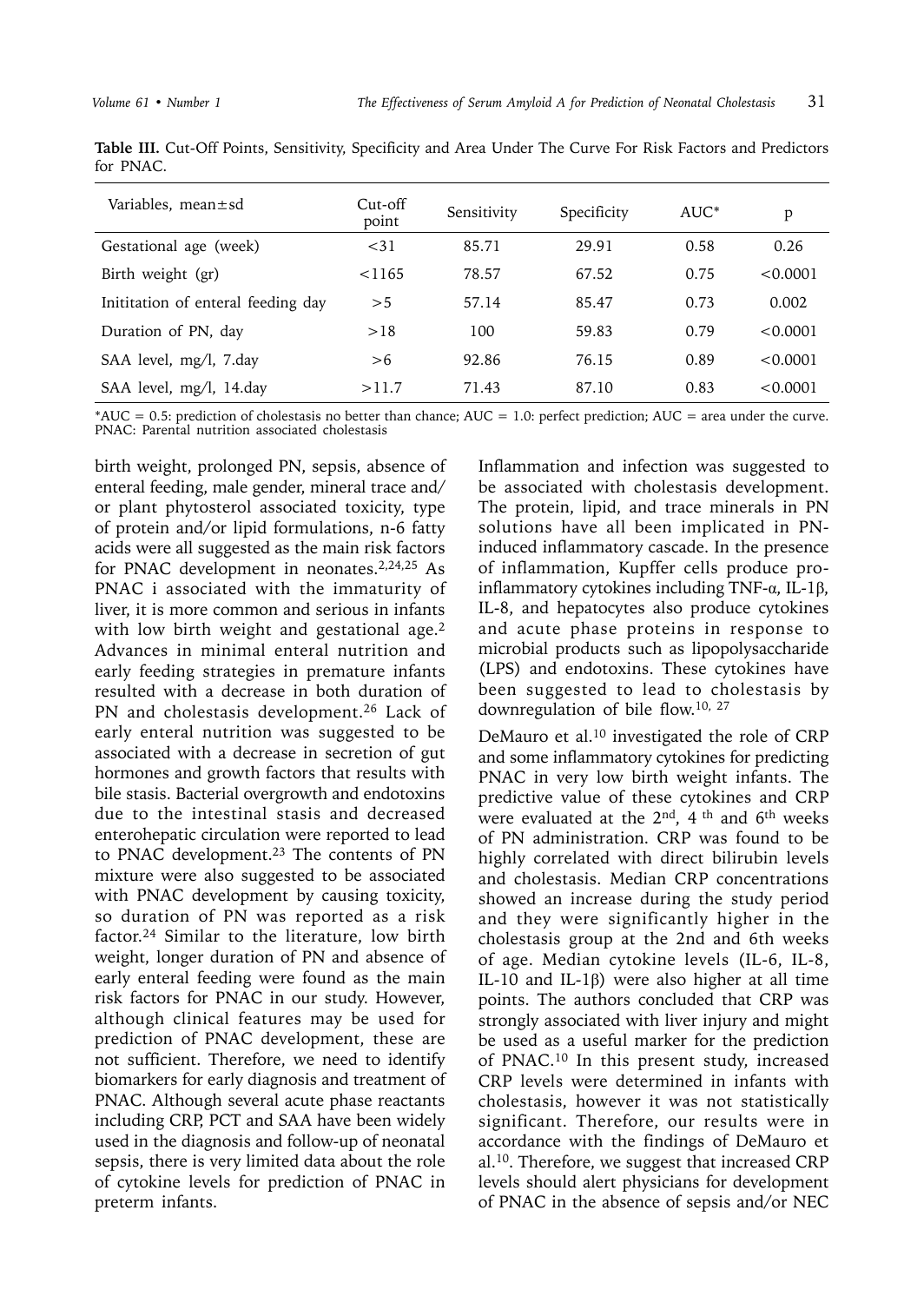| Table III. Cut-Off Points, Sensitivity, Specificity and Area Under The Curve For Risk Factors and Predictors |  |  |  |  |  |  |
|--------------------------------------------------------------------------------------------------------------|--|--|--|--|--|--|
| for PNAC.                                                                                                    |  |  |  |  |  |  |

| Variables, mean±sd                 | Cut-off<br>point | Sensitivity | Specificity | $AUC^*$ | p        |
|------------------------------------|------------------|-------------|-------------|---------|----------|
| Gestational age (week)             | < 31             | 85.71       | 29.91       | 0.58    | 0.26     |
| Birth weight (gr)                  | $<$ 1165         | 78.57       | 67.52       | 0.75    | < 0.0001 |
| Inititation of enteral feeding day | > 5              | 57.14       | 85.47       | 0.73    | 0.002    |
| Duration of PN, day                | >18              | 100         | 59.83       | 0.79    | < 0.0001 |
| SAA level, mg/l, 7.day             | > 6              | 92.86       | 76.15       | 0.89    | < 0.0001 |
| SAA level, mg/l, 14.day            | >11.7            | 71.43       | 87.10       | 0.83    | < 0.0001 |

 $*AUC = 0.5$ : prediction of cholestasis no better than chance;  $AUC = 1.0$ : perfect prediction;  $AUC =$  area under the curve. PNAC: Parental nutrition associated cholestasis

birth weight, prolonged PN, sepsis, absence of enteral feeding, male gender, mineral trace and/ or plant phytosterol associated toxicity, type of protein and/or lipid formulations, n-6 fatty acids were all suggested as the main risk factors for PNAC development in neonates.<sup>2,24,25</sup> As PNAC i associated with the immaturity of liver, it is more common and serious in infants with low birth weight and gestational age.<sup>2</sup> Advances in minimal enteral nutrition and early feeding strategies in premature infants resulted with a decrease in both duration of PN and cholestasis development.<sup>26</sup> Lack of early enteral nutrition was suggested to be associated with a decrease in secretion of gut hormones and growth factors that results with bile stasis. Bacterial overgrowth and endotoxins due to the intestinal stasis and decreased enterohepatic circulation were reported to lead to PNAC development.<sup>23</sup> The contents of PN mixture were also suggested to be associated with PNAC development by causing toxicity, so duration of PN was reported as a risk factor.24 Similar to the literature, low birth weight, longer duration of PN and absence of early enteral feeding were found as the main risk factors for PNAC in our study. However, although clinical features may be used for prediction of PNAC development, these are not sufficient. Therefore, we need to identify biomarkers for early diagnosis and treatment of PNAC. Although several acute phase reactants including CRP, PCT and SAA have been widely used in the diagnosis and follow-up of neonatal sepsis, there is very limited data about the role of cytokine levels for prediction of PNAC in preterm infants.

Inflammation and infection was suggested to be associated with cholestasis development. The protein, lipid, and trace minerals in PN solutions have all been implicated in PNinduced inflammatory cascade. In the presence of inflammation, Kupffer cells produce proinflammatory cytokines including TNF-α, IL-1β, IL-8, and hepatocytes also produce cytokines and acute phase proteins in response to microbial products such as lipopolysaccharide (LPS) and endotoxins. These cytokines have been suggested to lead to cholestasis by downregulation of bile flow.10, 27

DeMauro et al.10 investigated the role of CRP and some inflammatory cytokines for predicting PNAC in very low birth weight infants. The predictive value of these cytokines and CRP were evaluated at the 2nd, 4 th and 6th weeks of PN administration. CRP was found to be highly correlated with direct bilirubin levels and cholestasis. Median CRP concentrations showed an increase during the study period and they were significantly higher in the cholestasis group at the 2nd and 6th weeks of age. Median cytokine levels (IL-6, IL-8, IL-10 and IL-1β) were also higher at all time points. The authors concluded that CRP was strongly associated with liver injury and might be used as a useful marker for the prediction of PNAC.10 In this present study, increased CRP levels were determined in infants with cholestasis, however it was not statistically significant. Therefore, our results were in accordance with the findings of DeMauro et al.10. Therefore, we suggest that increased CRP levels should alert physicians for development of PNAC in the absence of sepsis and/or NEC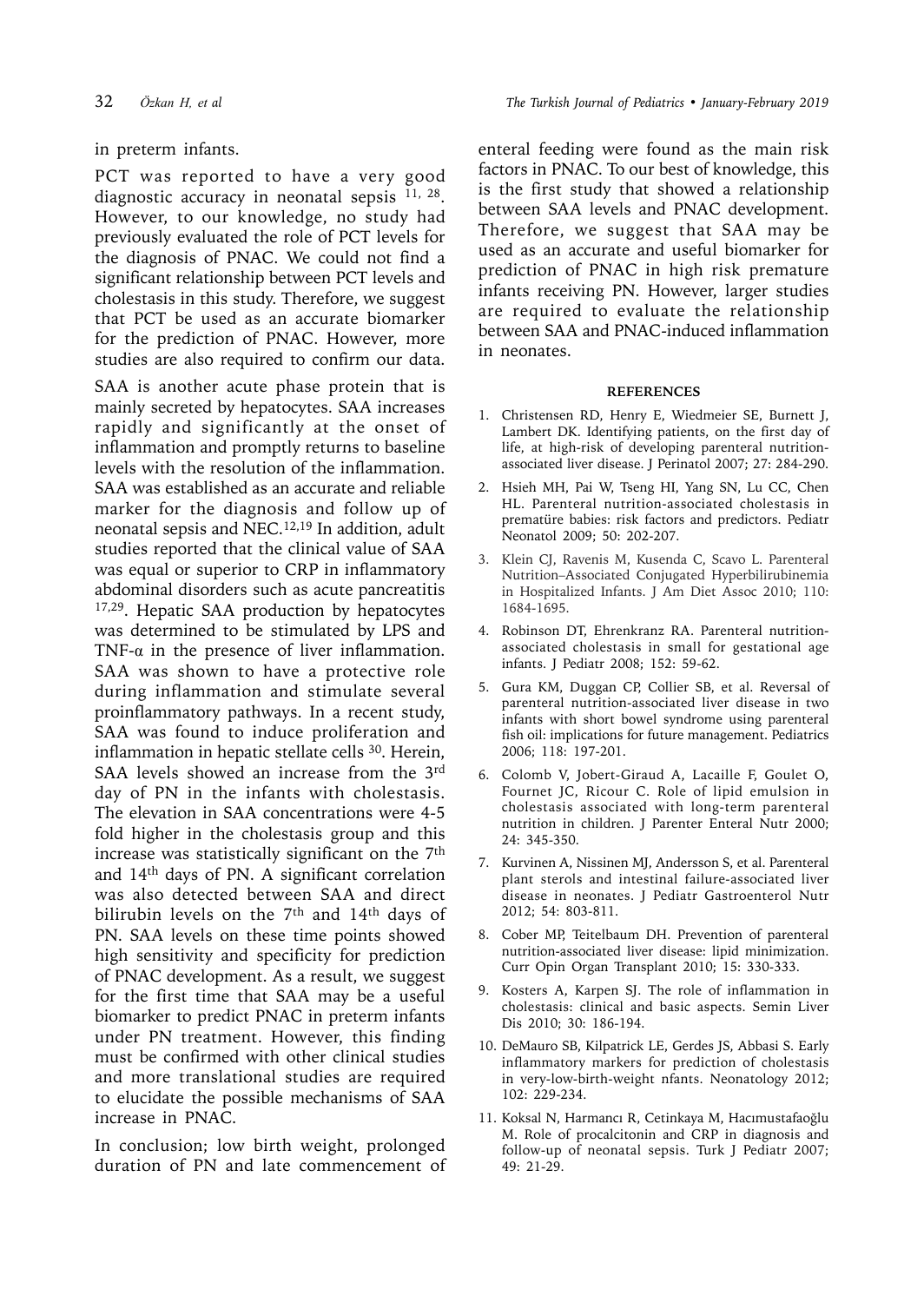## in preterm infants.

PCT was reported to have a very good diagnostic accuracy in neonatal sepsis  $^{11, 28}$ . However, to our knowledge, no study had previously evaluated the role of PCT levels for the diagnosis of PNAC. We could not find a significant relationship between PCT levels and cholestasis in this study. Therefore, we suggest that PCT be used as an accurate biomarker for the prediction of PNAC. However, more studies are also required to confirm our data.

SAA is another acute phase protein that is mainly secreted by hepatocytes. SAA increases rapidly and significantly at the onset of inflammation and promptly returns to baseline levels with the resolution of the inflammation. SAA was established as an accurate and reliable marker for the diagnosis and follow up of neonatal sepsis and NEC.12,19 In addition, adult studies reported that the clinical value of SAA was equal or superior to CRP in inflammatory abdominal disorders such as acute pancreatitis 17,29. Hepatic SAA production by hepatocytes was determined to be stimulated by LPS and TNF- $\alpha$  in the presence of liver inflammation. SAA was shown to have a protective role during inflammation and stimulate several proinflammatory pathways. In a recent study, SAA was found to induce proliferation and inflammation in hepatic stellate cells <sup>30</sup>. Herein, SAA levels showed an increase from the 3rd day of PN in the infants with cholestasis. The elevation in SAA concentrations were 4-5 fold higher in the cholestasis group and this increase was statistically significant on the  $7<sup>th</sup>$ and 14th days of PN. A significant correlation was also detected between SAA and direct bilirubin levels on the 7<sup>th</sup> and 14<sup>th</sup> days of PN. SAA levels on these time points showed high sensitivity and specificity for prediction of PNAC development. As a result, we suggest for the first time that SAA may be a useful biomarker to predict PNAC in preterm infants under PN treatment. However, this finding must be confirmed with other clinical studies and more translational studies are required to elucidate the possible mechanisms of SAA increase in PNAC.

In conclusion; low birth weight, prolonged duration of PN and late commencement of enteral feeding were found as the main risk factors in PNAC. To our best of knowledge, this is the first study that showed a relationship between SAA levels and PNAC development. Therefore, we suggest that SAA may be used as an accurate and useful biomarker for prediction of PNAC in high risk premature infants receiving PN. However, larger studies are required to evaluate the relationship between SAA and PNAC-induced inflammation in neonates.

### **REFERENCES**

- 1. Christensen RD, Henry E, Wiedmeier SE, Burnett J, Lambert DK. Identifying patients, on the first day of life, at high-risk of developing parenteral nutritionassociated liver disease. J Perinatol 2007; 27: 284-290.
- 2. Hsieh MH, Pai W, Tseng HI, Yang SN, Lu CC, Chen HL. Parenteral nutrition-associated cholestasis in prematüre babies: risk factors and predictors. Pediatr Neonatol 2009; 50: 202-207.
- 3. Klein CJ, Ravenis M, Kusenda C, Scavo L. Parenteral Nutrition–Associated Conjugated Hyperbilirubinemia in Hospitalized Infants. J Am Diet Assoc 2010; 110: 1684-1695.
- 4. Robinson DT, Ehrenkranz RA. Parenteral nutritionassociated cholestasis in small for gestational age infants. J Pediatr 2008; 152: 59-62.
- 5. Gura KM, Duggan CP, Collier SB, et al. Reversal of parenteral nutrition-associated liver disease in two infants with short bowel syndrome using parenteral fish oil: implications for future management. Pediatrics 2006; 118: 197-201.
- 6. Colomb V, Jobert-Giraud A, Lacaille F, Goulet O, Fournet JC, Ricour C. Role of lipid emulsion in cholestasis associated with long-term parenteral nutrition in children. J Parenter Enteral Nutr 2000; 24: 345-350.
- 7. Kurvinen A, Nissinen MJ, Andersson S, et al. Parenteral plant sterols and intestinal failure-associated liver disease in neonates. J Pediatr Gastroenterol Nutr 2012; 54: 803-811.
- 8. Cober MP, Teitelbaum DH. Prevention of parenteral nutrition-associated liver disease: lipid minimization. Curr Opin Organ Transplant 2010; 15: 330-333.
- 9. Kosters A, Karpen SJ. The role of inflammation in cholestasis: clinical and basic aspects. Semin Liver Dis 2010; 30: 186-194.
- 10. DeMauro SB, Kilpatrick LE, Gerdes JS, Abbasi S. Early inflammatory markers for prediction of cholestasis in very-low-birth-weight nfants. Neonatology 2012; 102: 229-234.
- 11. Koksal N, Harmancı R, Cetinkaya M, Hacımustafaoğlu M. Role of procalcitonin and CRP in diagnosis and follow-up of neonatal sepsis. Turk J Pediatr 2007; 49: 21-29.